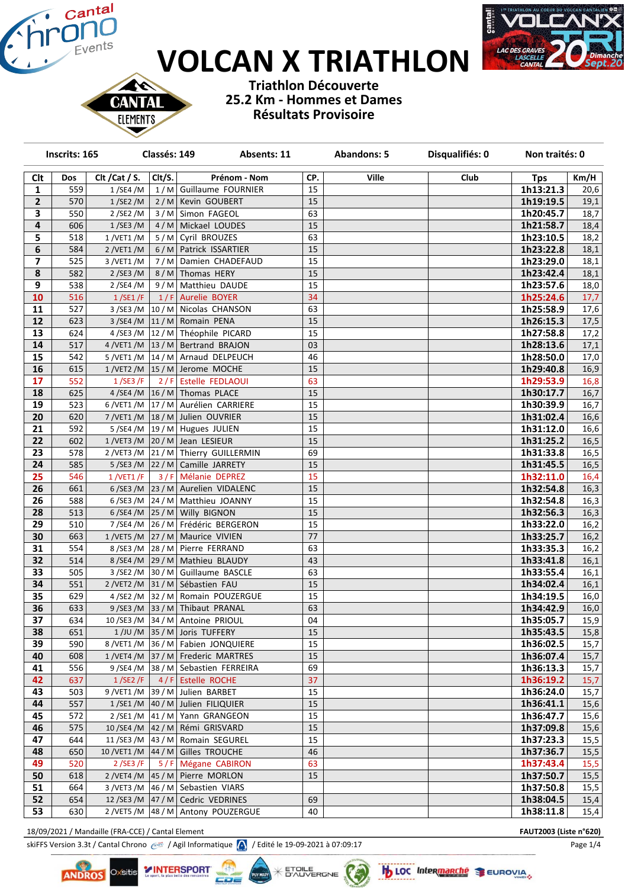# **VOLCAN X TRIATHLON**



**Triathlon Découverte 25.2 Km - Hommes et Dames Résultats Provisoire**

| Inscrits: 165           |     |                | Classés: 149<br>Absents: 11 |                                               | Disqualifiés: 0<br><b>Abandons: 5</b> |              | Non traités: 0 |            |      |
|-------------------------|-----|----------------|-----------------------------|-----------------------------------------------|---------------------------------------|--------------|----------------|------------|------|
| <b>Clt</b>              | Dos | Clt / Cat / S. | Clt/S.                      | Prénom - Nom                                  | CP.                                   | <b>Ville</b> | Club           | <b>Tps</b> | Km/H |
| 1                       | 559 | 1/SE4/M        |                             | 1/M Guillaume FOURNIER                        | 15                                    |              |                | 1h13:21.3  | 20,6 |
| 2                       | 570 | 1/SE2/M        |                             | 2/M Kevin GOUBERT                             | 15                                    |              |                | 1h19:19.5  | 19,1 |
| 3                       | 550 | 2/SE2/M        |                             | 3/M Simon FAGEOL                              | 63                                    |              |                | 1h20:45.7  | 18,7 |
| $\overline{\mathbf{4}}$ | 606 | 1/SE3/M        |                             | 4/M Mickael LOUDES                            | 15                                    |              |                | 1h21:58.7  | 18,4 |
| 5                       | 518 | $1$ /VET1 /M   |                             | 5/M Cyril BROUZES                             | 63                                    |              |                | 1h23:10.5  | 18,2 |
| 6                       | 584 | 2/VET1/M       |                             | 6/M   Patrick ISSARTIER                       | 15                                    |              |                | 1h23:22.8  | 18,1 |
| $\overline{\mathbf{z}}$ | 525 | 3 / VET1 / M   |                             | 7/M Damien CHADEFAUD                          | 15                                    |              |                | 1h23:29.0  | 18,1 |
| 8                       | 582 | 2/SE3/M        |                             | 8/M Thomas HERY                               | 15                                    |              |                | 1h23:42.4  | 18,1 |
| 9                       | 538 | 2/SE4/M        |                             | 9/M Matthieu DAUDE                            | 15                                    |              |                | 1h23:57.6  | 18,0 |
| 10                      | 516 | 1/SE1/F        |                             | 1/F Aurelie BOYER                             | 34                                    |              |                | 1h25:24.6  | 17,7 |
| 11                      | 527 |                |                             | 3/SE3/M 10/M Nicolas CHANSON                  | 63                                    |              |                | 1h25:58.9  | 17,6 |
| 12                      | 623 |                |                             | $3/SE4/M$ 11/M Romain PENA                    | 15                                    |              |                | 1h26:15.3  | 17,5 |
| 13                      | 624 |                |                             | 4/SE3/M 12/M Théophile PICARD                 | 15                                    |              |                | 1h27:58.8  | 17,2 |
| 14                      | 517 |                |                             | $4$ /VET1 /M   13 / M   Bertrand BRAJON       | 03                                    |              |                | 1h28:13.6  | 17,1 |
| 15                      | 542 |                |                             | 5/VET1/M 14/M Arnaud DELPEUCH                 | 46                                    |              |                | 1h28:50.0  | 17,0 |
| 16                      | 615 |                |                             | 1/VET2/M 15/M Jerome MOCHE                    | 15                                    |              |                | 1h29:40.8  | 16,9 |
| 17                      | 552 |                |                             | 1/SE3/F 2/F Estelle FEDLAOUI                  | 63                                    |              |                | 1h29:53.9  | 16,8 |
| 18                      | 625 |                |                             | 4/SE4/M $\vert$ 16/M   Thomas PLACE           | 15                                    |              |                | 1h30:17.7  | 16,7 |
| 19                      | 523 |                |                             | 6/VET1/M 17/M Aurélien CARRIERE               | 15                                    |              |                | 1h30:39.9  | 16,7 |
| 20                      | 620 |                |                             | 7/VET1/M   18/ M Julien OUVRIER               | 15                                    |              |                | 1h31:02.4  | 16,6 |
| 21                      | 592 |                |                             | 5/SE4/M $\vert$ 19/M Hugues JULIEN            | 15                                    |              |                | 1h31:12.0  | 16,6 |
| 22                      | 602 |                |                             | 1/VET3/M 20/M Jean LESIEUR                    | 15                                    |              |                | 1h31:25.2  | 16,5 |
| 23                      | 578 |                |                             | 2/VET3/M 21/M Thierry GUILLERMIN              | 69                                    |              |                | 1h31:33.8  | 16,5 |
| 24                      | 585 |                |                             | 5/SE3/M $\vert$ 22/M $\vert$ Camille JARRETY  | 15                                    |              |                | 1h31:45.5  | 16,5 |
| 25                      | 546 | 1 / VET1 / F   |                             | 3/F Mélanie DEPREZ                            | 15                                    |              |                | 1h32:11.0  | 16,4 |
| 26                      | 661 |                |                             | 6/SE3/M 23/M Aurelien VIDALENC                | 15                                    |              |                | 1h32:54.8  | 16,3 |
| 26                      | 588 |                |                             | 6/SE3/M $\left  24/M \right $ Matthieu JOANNY | 15                                    |              |                | 1h32:54.8  | 16,3 |
| 28                      | 513 |                |                             | 6/SE4/M 25/M Willy BIGNON                     | 15                                    |              |                | 1h32:56.3  | 16,3 |
| 29                      | 510 |                |                             | 7/SE4/M 26/M Frédéric BERGERON                | 15                                    |              |                | 1h33:22.0  | 16,2 |
| 30                      | 663 |                |                             | 1/VET5/M 27/M Maurice VIVIEN                  | 77                                    |              |                | 1h33:25.7  | 16,2 |
| 31                      | 554 |                |                             | 8/SE3/M 28/M Pierre FERRAND                   | 63                                    |              |                | 1h33:35.3  | 16,2 |
| 32                      | 514 |                |                             | 8/SE4/M 29/M   Mathieu BLAUDY                 | 43                                    |              |                | 1h33:41.8  | 16,1 |
| 33                      | 505 |                |                             | 3/SE2/M 30/M Guillaume BASCLE                 | 63                                    |              |                | 1h33:55.4  | 16,1 |
| 34                      | 551 |                |                             | 2/VET2/M 31/M Sébastien FAU                   | 15                                    |              |                | 1h34:02.4  | 16,1 |
| 35                      | 629 |                |                             | 4/SE2/M 32/M Romain POUZERGUE                 | 15                                    |              |                | 1h34:19.5  | 16,0 |
| 36                      | 633 |                |                             | $9$ /SE3 /M 33 / M Thibaut PRANAL             | 63                                    |              |                | 1h34:42.9  | 16,0 |
| 37                      | 634 |                |                             | 10/SE3/M 34/M Antoine PRIOUL                  | 04                                    |              |                | 1h35:05.7  | 15,9 |
| 38                      | 651 |                |                             | 1/JU/M 35/M Joris TUFFERY                     | 15                                    |              |                | 1h35:43.5  | 15,8 |
| 39                      | 590 |                |                             | 8/VET1/M 36/M   Fabien JONQUIERE              | 15                                    |              |                | 1h36:02.5  | 15,7 |
| 40                      | 608 |                |                             | 1/VET4/M 37/M Frederic MARTRES                | 15                                    |              |                | 1h36:07.4  | 15,7 |
| 41                      | 556 |                |                             | 9/SE4/M 38/M Sebastien FERREIRA               | 69                                    |              |                | 1h36:13.3  | 15,7 |
| 42                      | 637 |                |                             | $1/SE2/F$ 4/F Estelle ROCHE                   | 37                                    |              |                | 1h36:19.2  | 15,7 |
| 43                      | 503 |                |                             | $9/VET1/M$ 39 / M Julien BARBET               | 15                                    |              |                | Ih36:24.0  | 15,7 |
| 44                      | 557 |                |                             | 1/SE1/M 40/M Julien FILIQUIER                 | 15                                    |              |                | 1h36:41.1  | 15,6 |
| 45                      | 572 |                |                             | 2/SE1/M 41/M Yann GRANGEON                    | 15                                    |              |                | 1h36:47.7  | 15,6 |
| 46                      | 575 |                |                             | 10/SE4/M 42/M Rémi GRISVARD                   | 15                                    |              |                | 1h37:09.8  | 15,6 |
| 47                      | 644 |                |                             | 11/SE3/M $\vert$ 43/M Romain SEGUREL          | 15                                    |              |                | 1h37:23.3  | 15,5 |
| 48                      | 650 |                |                             | 10 / VET1 / M   44 / M   Gilles TROUCHE       | 46                                    |              |                | 1h37:36.7  | 15,5 |
| 49                      | 520 |                |                             | 2/SE3/F   5/F   Mégane CABIRON                | 63                                    |              |                | 1h37:43.4  | 15,5 |
| 50                      | 618 |                |                             | $2$ /VET4 /M $\vert$ 45 / M   Pierre MORLON   | 15                                    |              |                | 1h37:50.7  | 15,5 |
| 51                      | 664 |                |                             | 3/VET3/M 46/M Sebastien VIARS                 |                                       |              |                | 1h37:50.8  | 15,5 |
| 52                      | 654 |                |                             | 12/SE3/M 47/M Cedric VEDRINES                 | 69                                    |              |                | 1h38:04.5  | 15,4 |
| 53                      | 630 |                |                             | 2/VET5/M 48/M Antony POUZERGUE                | 40                                    |              |                | 1h38:11.8  | 15,4 |

18/09/2021 / Mandaille (FRA-CCE) / Cantal Element **FAUT2003 (Liste n°620)**

CА

**ELEMENTS** 

skiFFS Version 3.3t / Cantal Chrono  $\circ$  / Agil Informatique  $\bigwedge$  / Edité le 19-09-2021 à 07:09:17

وتعاصا

**YINTERSPORT** 

Oxsitis **ANDROS** 



**KS** 

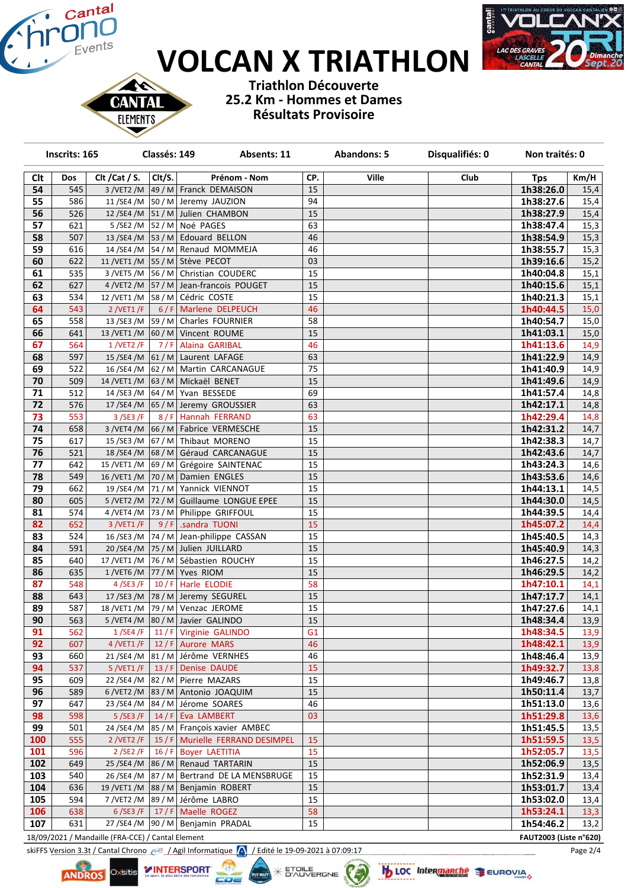# **VOLCAN X TRIATHLON**



**Triathlon Découverte 25.2 Km - Hommes et Dames Résultats Provisoire**

| Inscrits: 165   |            |                | Classés: 149<br>Absents: 11 |                                                                          |          | <b>Abandons: 5</b> | Disqualifiés: 0 | Non traités: 0         |              |
|-----------------|------------|----------------|-----------------------------|--------------------------------------------------------------------------|----------|--------------------|-----------------|------------------------|--------------|
| Clt             | Dos        | Clt / Cat / S. | Clt/S.                      | Prénom - Nom                                                             | CP.      | <b>Ville</b>       | Club            | <b>Tps</b>             | Km/H         |
| 54              | 545        |                |                             | 3/VET2/M 49/M Franck DEMAISON                                            | 15       |                    |                 | 1h38:26.0              | 15,4         |
| 55              | 586        |                |                             | 11/SE4/M   50/M   Jeremy JAUZION                                         | 94       |                    |                 | 1h38:27.6              | 15,4         |
| 56              | 526        |                |                             | 12/SE4/M   51/M   Julien CHAMBON                                         | 15       |                    |                 | 1h38:27.9              | 15,4         |
| 57              | 621        |                |                             | $5/SE2/M$ 52 / M Noé PAGES                                               | 63       |                    |                 | 1h38:47.4              | 15,3         |
| 58              | 507        |                |                             | 13/SE4/M   53/M   Edouard BELLON                                         | 46       |                    |                 | 1h38:54.9              | 15,3         |
| 59              | 616        |                |                             | 14/SE4/M   54/M   Renaud MOMMEJA                                         | 46       |                    |                 | 1h38:55.7              | 15,3         |
| 60              | 622        |                |                             | 11 /VET1 /M 55 / M Stève PECOT                                           | 03       |                    |                 | 1h39:16.6              | 15,2         |
| 61              | 535        |                |                             | 3/VET5/M 56/M Christian COUDERC                                          | 15       |                    |                 | 1h40:04.8              | 15,1         |
| 62              | 627        |                |                             | 4/VET2/M   57/M   Jean-francois POUGET                                   | 15       |                    |                 | 1h40:15.6              | 15,1         |
| 63              | 534        |                |                             | 12 /VET1 /M   58 / M   Cédric COSTE                                      | 15       |                    |                 | 1h40:21.3              | 15,1         |
| 64              | 543        | 2/VET1/F       |                             | 6/F Marlene DELPEUCH                                                     | 46       |                    |                 | 1h40:44.5              | 15,0         |
| 65              | 558        |                |                             | 13/SE3/M   59/M   Charles FOURNIER                                       | 58       |                    |                 | 1h40:54.7              | 15,0         |
| 66              | 641        |                |                             | 13 /VET1 /M  60 / M   Vincent ROUME                                      | 15       |                    |                 | 1h41:03.1              | 15,0         |
| 67              | 564        | 1/VET2/F       |                             | 7/F Alaina GARIBAL                                                       | 46       |                    |                 | 1h41:13.6              | 14,9         |
| 68              | 597        |                |                             | 15/SE4/M 61/M Laurent LAFAGE                                             | 63       |                    |                 | 1h41:22.9              | 14,9         |
| 69              | 522        | 16/SE4/M       |                             | 62 / M   Martin CARCANAGUE                                               | 75       |                    |                 | 1h41:40.9              | 14,9         |
| 70              | 509        | 14 / VET1 / M  |                             | 63 / M Mickaël BENET                                                     | 15       |                    |                 | 1h41:49.6              | 14,9         |
| 71              | 512        |                |                             | 14/SE3/M 64/M Yvan BESSEDE                                               | 69       |                    |                 | 1h41:57.4              | 14,8         |
| 72              | 576        |                |                             | 17/SE4/M 65/M Jeremy GROUSSIER                                           | 63       |                    |                 | 1h42:17.1              | 14,8         |
| 73              | 553        | 3/SE3/F        |                             | 8/F Hannah FERRAND                                                       | 63       |                    |                 | 1h42:29.4              | 14,8         |
| 74              | 658        |                |                             | 3/VET4/M 66/M Fabrice VERMESCHE                                          | 15       |                    |                 | 1h42:31.2              | 14,7         |
| $\overline{75}$ | 617        |                |                             | 15/SE3/M 67/M Thibaut MORENO                                             | 15       |                    |                 | 1h42:38.3              | 14,7         |
| 76<br>77        | 521<br>642 |                |                             | 18/SE4/M 68/M Géraud CARCANAGUE<br>15 /VET1 /M 69 / M Grégoire SAINTENAC | 15<br>15 |                    |                 | 1h42:43.6              | 14,7<br>14,6 |
| 78              | 549        |                |                             | 16 /VET1 /M   70 / M   Damien ENGLES                                     | 15       |                    |                 | 1h43:24.3<br>1h43:53.6 | 14,6         |
| 79              | 662        |                |                             | 19/SE4/M 71/M Yannick VIENNOT                                            | 15       |                    |                 | 1h44:13.1              | 14,5         |
| 80              | 605        |                |                             | 5/VET2/M 72/M Guillaume LONGUE EPEE                                      | 15       |                    |                 | 1h44:30.0              | 14,5         |
| 81              | 574        |                |                             | 4/VET4/M 73/M Philippe GRIFFOUL                                          | 15       |                    |                 | 1h44:39.5              | 14,4         |
| 82              | 652        | 3 /VET1 /F     |                             | $9/F$ .sandra TUONI                                                      | 15       |                    |                 | 1h45:07.2              | 14,4         |
| 83              | 524        |                |                             | 16/SE3/M $\vert$ 74/M Jean-philippe CASSAN                               | 15       |                    |                 | 1h45:40.5              | 14,3         |
| 84              | 591        |                |                             | 20/SE4/M 75/M Julien JUILLARD                                            | 15       |                    |                 | 1h45:40.9              | 14,3         |
| 85              | 640        |                |                             | 17 /VET1 /M 76 / M Sébastien ROUCHY                                      | 15       |                    |                 | 1h46:27.5              | 14,2         |
| 86              | 635        |                |                             | 1/VET6/M 77/M Yves RIOM                                                  | 15       |                    |                 | 1h46:29.5              | 14,2         |
| 87              | 548        | 4/SE3/F        |                             | 10/F Harle ELODIE                                                        | 58       |                    |                 | 1h47:10.1              | 14,1         |
| 88              | 643        |                |                             | 17/SE3/M 78/M Jeremy SEGUREL                                             | 15       |                    |                 | 1h47:17.7              | 14,1         |
| 89              | 587        |                |                             | 18 /VET1 /M   79 / M   Venzac JEROME                                     | 15       |                    |                 | 1h47:27.6              | 14,1         |
| 90              | 563        |                |                             | 5/VET4/M 80/M Javier GALINDO                                             | 15       |                    |                 | 1h48:34.4              | 13,9         |
| 91              | 562        | 1/SE4/F        |                             | 11 / F Virginie GALINDO                                                  | G1       |                    |                 | 1h48:34.5              | 13,9         |
| 92              | 607        |                |                             | 4 /VET1 /F   12 / F   Aurore MARS                                        | 46       |                    |                 | 1h48:42.1              | 13,9         |
| 93              | 660        |                |                             | 21/SE4/M 81/M Jérôme VERNHES                                             | 46       |                    |                 | 1h48:46.4              | 13,9         |
| 94              | 537        |                |                             | 5 /VET1 /F   13 / F   Denise DAUDE                                       | 15       |                    |                 | 1h49:32.7              | 13,8         |
| 95              | 609        | 22/SE4/M       |                             | 82 / M Pierre MAZARS                                                     | 15       |                    |                 | 1h49:46.7              | 13,8         |
| 96              | 589        | 6/VET2/M       |                             | 83 / M Antonio JOAQUIM                                                   | 15       |                    |                 | 1h50:11.4              | 13,7         |
| 97              | 647        | 23 / SE4 / M   |                             | 84 / M Jérome SOARES                                                     | 46       |                    |                 | 1h51:13.0              | 13,6         |
| 98              | 598        | 5/SE3/F        |                             | $14 / F$ Eva LAMBERT                                                     | 03       |                    |                 | 1h51:29.8              | 13,6         |
| 99              | 501        |                |                             | 24/SE4/M   85/M   François xavier AMBEC                                  |          |                    |                 | 1h51:45.5              | 13,5         |
| 100             | 555        | 2/VET2/F       |                             | 15 / F   Murielle FERRAND DESIMPEL                                       | 15       |                    |                 | 1h51:59.5              | 13,5         |
| 101             | 596        | 2/SE2/F        |                             | 16 / F Boyer LAETITIA                                                    | 15       |                    |                 | 1h52:05.7              | 13,5         |
| 102             | 649        |                |                             | 25/SE4/M 86/M Renaud TARTARIN                                            | 15       |                    |                 | 1h52:06.9              | 13,5         |
| 103             | 540        |                |                             | 26/SE4/M   87/M   Bertrand DE LA MENSBRUGE                               | 15       |                    |                 | 1h52:31.9              | 13,4         |
| 104             | 636        |                |                             | 19 / VET1 / M 88 / M Benjamin ROBERT                                     | 15       |                    |                 | 1h53:01.7              | 13,4         |
| 105             | 594        |                |                             | 7/VET2/M 89/M Jérôme LABRO                                               | 15       |                    |                 | 1h53:02.0              | 13,4         |
| 106             | 638        | 6/SE3/F        |                             | 17 / F   Maelle ROGEZ                                                    | 58       |                    |                 | 1h53:24.1              | 13,3         |
| 107             | 631        |                |                             | 27/SE4/M 90/M Benjamin PRADAL                                            | 15       |                    |                 | 1h54:46.2              | 13,2         |

**X ETCILE** 

18/09/2021 / Mandaille (FRA-CCE) / Cantal Element **FAUT2003 (Liste n°620)**

N **CANTAI ELEMENTS** 

skiFFS Version 3.3t / Cantal Chrono  $\frac{1}{2}$  / Agil Informatique  $\bigwedge$  / Edité le 19-09-2021 à 07:09:17

**Lik** 

وتعاصا

**YINTERSPORT** 



**b** LOC Intermanché SEUROVIA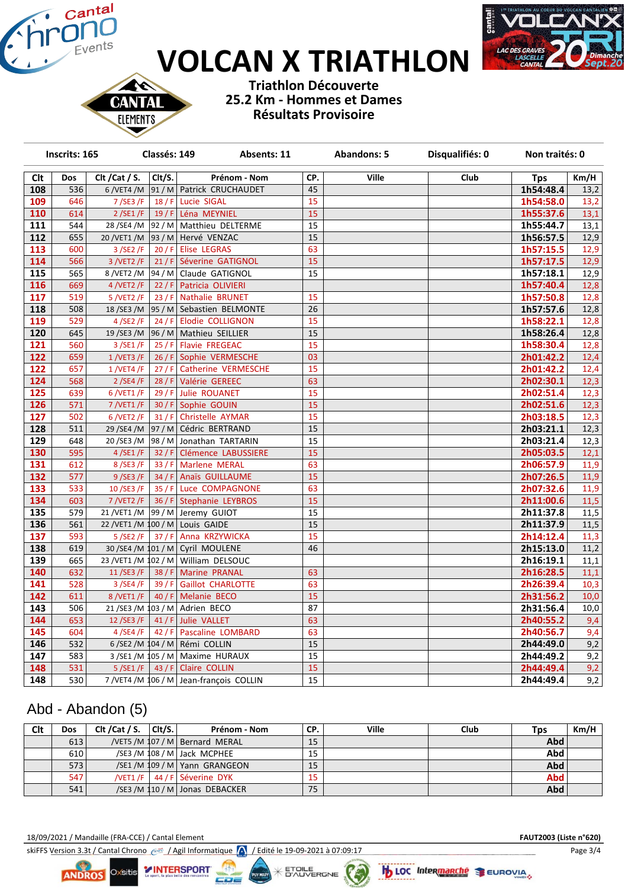# **VOLCAN X TRIATHLON**



CAN **ELEMENTS** 

**Triathlon Découverte 25.2 Km - Hommes et Dames Résultats Provisoire**

|                  | Inscrits: 165<br>Classés: 149 |                | Absents: 11 |                                         | <b>Abandons: 5</b> | Disqualifiés: 0 | Non traités: 0 |            |      |
|------------------|-------------------------------|----------------|-------------|-----------------------------------------|--------------------|-----------------|----------------|------------|------|
| Clt              | Dos                           | Clt / Cat / S. | Clt/S.      | Prénom - Nom                            | CP.                | <b>Ville</b>    | Club           | <b>Tps</b> | Km/H |
| 108              | 536                           |                |             | 6/VET4/M 91/M Patrick CRUCHAUDET        | 45                 |                 |                | 1h54:48.4  | 13,2 |
| 109              | 646                           | 7/SE3/F        |             | 18 / F Lucie SIGAL                      | 15                 |                 |                | 1h54:58.0  | 13,2 |
| 110              | 614                           | 2/SE1/F        |             | 19 / F Léna MEYNIEL                     | 15                 |                 |                | 1h55:37.6  | 13,1 |
| 111              | 544                           | 28/SE4/M       |             | 92 / M   Matthieu DELTERME              | 15                 |                 |                | 1h55:44.7  | 13,1 |
| 112              | 655                           |                |             | 20 / VET1 / M 93 / M Hervé VENZAC       | 15                 |                 |                | 1h56:57.5  | 12,9 |
| 113              | 600                           | 3/SE2/F        |             | 20 / F Elise LEGRAS                     | 63                 |                 |                | 1h57:15.5  | 12,9 |
| 114              | 566                           | 3/VET2/F       |             | 21 / F Séverine GATIGNOL                | 15                 |                 |                | 1h57:17.5  | 12,9 |
| 115              | 565                           |                |             | 8/VET2/M 94/M Claude GATIGNOL           | 15                 |                 |                | 1h57:18.1  | 12,9 |
| 116              | 669                           | 4 /VET2 /F     |             | 22 / F Patricia OLIVIERI                |                    |                 |                | 1h57:40.4  | 12,8 |
| 117              | 519                           | 5/NET2/F       |             | 23 / F Nathalie BRUNET                  | 15                 |                 |                | 1h57:50.8  | 12,8 |
| 118              | 508                           |                |             | 18/SE3/M 95/M Sebastien BELMONTE        | 26                 |                 |                | 1h57:57.6  | 12,8 |
| 119              | 529                           | $4$ /SE2 /F    |             | 24 / F   Elodie COLLIGNON               | 15                 |                 |                | 1h58:22.1  | 12,8 |
| 120              | 645                           |                |             | 19/SE3/M 96/M Mathieu SEILLIER          | 15                 |                 |                | 1h58:26.4  | 12,8 |
| 121              | 560                           | 3/SE1/F        |             | 25 / F Flavie FREGEAC                   | 15                 |                 |                | 1h58:30.4  | 12,8 |
| 122              | 659                           | $1$ /VET3 /F   |             | 26 / F Sophie VERMESCHE                 | 03                 |                 |                | 2h01:42.2  | 12,4 |
| 122              | 657                           | $1$ /VET4 /F   |             | 27 / F   Catherine VERMESCHE            | 15                 |                 |                | 2h01:42.2  | 12,4 |
| 124              | 568                           | 2/SE4/F        |             | 28 / F Valérie GEREEC                   | 63                 |                 |                | 2h02:30.1  | 12,3 |
| $\overline{125}$ | 639                           | 6 / VET1 / F   |             | 29 / F Julie ROUANET                    | 15                 |                 |                | 2h02:51.4  | 12,3 |
| 126              | 571                           | 7 / VET1 / F   |             | 30 / F Sophie GOUIN                     | 15                 |                 |                | 2h02:51.6  | 12,3 |
| 127              | 502                           | 6 /VET2 /F     |             | 31 / F Christelle AYMAR                 | 15                 |                 |                | 2h03:18.5  | 12,3 |
| 128              | 511                           |                |             | 29 / SE4 / M   97 / M   Cédric BERTRAND | 15                 |                 |                | 2h03:21.1  | 12,3 |
| 129              | 648                           | 20/SE3/M       |             | 98 / M Jonathan TARTARIN                | 15                 |                 |                | 2h03:21.4  | 12,3 |
| 130              | 595                           | 4/SE1/F        |             | 32 / F   Clémence LABUSSIERE            | 15                 |                 |                | 2h05:03.5  | 12,1 |
| 131              | 612                           | 8/SE3/F        |             | 33 / F   Marlene MERAL                  | 63                 |                 |                | 2h06:57.9  | 11,9 |
| 132              | 577                           | 9/SE3/F        |             | 34 / F Anaïs GUILLAUME                  | 15                 |                 |                | 2h07:26.5  | 11,9 |
| 133              | 533                           | 10/SE3/F       |             | 35 / F Luce COMPAGNONE                  | 63                 |                 |                | 2h07:32.6  | 11,9 |
| 134              | 603                           | 7 / VET2 / F   |             | 36 / F   Stephanie LEYBROS              | 15                 |                 |                | 2h11:00.6  | 11,5 |
| 135              | 579                           | 21 / VET1 / M  |             | 99 / M Jeremy GUIOT                     | 15                 |                 |                | 2h11:37.8  | 11,5 |
| 136              | 561                           |                |             | 22 / VET1 / M 100 / M Louis GAIDE       | 15                 |                 |                | 2h11:37.9  | 11,5 |
| 137              | 593                           | 5/SE2/F        |             | 37 / F   Anna KRZYWICKA                 | 15                 |                 |                | 2h14:12.4  | 11,3 |
| 138              | 619                           |                |             | 30 / SE4 / M 101 / M   Cyril MOULENE    | 46                 |                 |                | 2h15:13.0  | 11,2 |
| 139              | 665                           |                |             | 23 /VET1 /M 102 / M   William DELSOUC   |                    |                 |                | 2h16:19.1  | 11,1 |
| 140              | 632                           | 11/SE3/F       |             | 38 / F   Marine PRANAL                  | 63                 |                 |                | 2h16:28.5  | 11,1 |
| 141              | 528                           | 3/SE4/F        |             | 39 / F Gaillot CHARLOTTE                | 63                 |                 |                | 2h26:39.4  | 10,3 |
| 142              | 611                           | 8 /VET1 /F     |             | 40 / F   Melanie BECO                   | 15                 |                 |                | 2h31:56.2  | 10,0 |
| 143              | 506                           |                |             | 21/SE3/M 103/M Adrien BECO              | 87                 |                 |                | 2h31:56.4  | 10,0 |
| 144              | 653                           | 12 / SE3 / F   |             | 41 / F Julie VALLET                     | 63                 |                 |                | 2h40:55.2  | 9,4  |
| 145              | 604                           | 4/SE4/F        |             | 42 / F   Pascaline LOMBARD              | 63                 |                 |                | 2h40:56.7  | 9,4  |
| 146              | 532                           |                |             | 6/SE2/M $104/M$ Rémi COLLIN             | 15                 |                 |                | 2h44:49.0  | 9,2  |
| 147              | 583                           |                |             | 3/SE1/M 105/M   Maxime HURAUX           | 15                 |                 |                | 2h44:49.2  | 9,2  |
| 148              | 531                           |                |             | $5/SE1/F$ 43 / F Claire COLLIN          | 15                 |                 |                | 2h44:49.4  | 9,2  |
| 148              | 530                           |                |             | 7/VET4/M 106/M Jean-françois COLLIN     | 15                 |                 |                | 2h44:49.4  | 9,2  |

### Abd - Abandon (5)

| Clt | <b>Dos</b> | Clt / Cat / S. | $ $ Clt/S. $ $ | Prénom - Nom                     | CP. | Ville | Club | <b>Tps</b> | Km/H |
|-----|------------|----------------|----------------|----------------------------------|-----|-------|------|------------|------|
|     | 613        |                |                | /VET5 /M 107 / M   Bernard MERAL | 15  |       |      | <b>Abd</b> |      |
|     | 610        |                |                | /SE3 /M 108 / M Jack MCPHEE      | 15  |       |      | Abd        |      |
|     | 573        |                |                | /SE1/M 109 / M Yann GRANGEON     | 15  |       |      | <b>Abd</b> |      |
|     | 547        |                |                | /VET1 /F   44 / F   Séverine DYK | 15  |       |      | <b>Abd</b> |      |
|     | 541        |                |                | /SE3 /M $110$ / M Jonas DEBACKER | 75  |       |      | <b>Abd</b> |      |

18/09/2021 / Mandaille (FRA-CCE) / Cantal Element **FAUT2003 (Liste n°620)**

skiFFS Version 3.3t / Cantal Chrono  $\frac{1}{2}$  / Agil Informatique  $\bigwedge$  / Edité le 19-09-2021 à 07:09:17



**KETCILE**<br> **KETCILE**<br> **KETCILE b** LOC Intermanche SEUROVIA